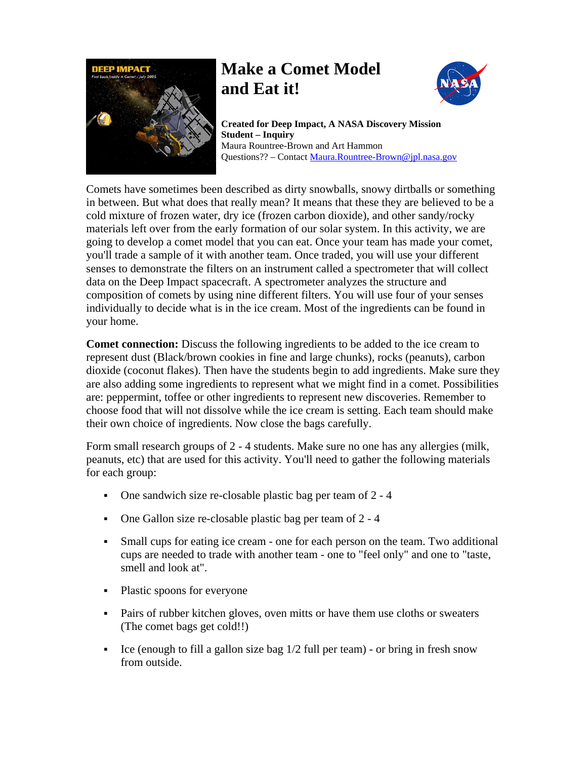

# **Make a Comet Model and Eat it!**



**Created for Deep Impact, A NASA Discovery Mission Student – Inquiry**  Maura Rountree-Brown and Art Hammon Questions?? – Contact [Maura.Rountree-Brown@jpl.nasa.gov](mailto:Maura.Rountree-Brown@jpl.nasa.gov) 

Comets have sometimes been described as dirty snowballs, snowy dirtballs or something in between. But what does that really mean? It means that these they are believed to be a cold mixture of frozen water, dry ice (frozen carbon dioxide), and other sandy/rocky materials left over from the early formation of our solar system. In this activity, we are going to develop a comet model that you can eat. Once your team has made your comet, you'll trade a sample of it with another team. Once traded, you will use your different senses to demonstrate the filters on an instrument called a spectrometer that will collect data on the Deep Impact spacecraft. A spectrometer analyzes the structure and composition of comets by using nine different filters. You will use four of your senses individually to decide what is in the ice cream. Most of the ingredients can be found in your home.

**Comet connection:** Discuss the following ingredients to be added to the ice cream to represent dust (Black/brown cookies in fine and large chunks), rocks (peanuts), carbon dioxide (coconut flakes). Then have the students begin to add ingredients. Make sure they are also adding some ingredients to represent what we might find in a comet. Possibilities are: peppermint, toffee or other ingredients to represent new discoveries. Remember to choose food that will not dissolve while the ice cream is setting. Each team should make their own choice of ingredients. Now close the bags carefully.

Form small research groups of 2 - 4 students. Make sure no one has any allergies (milk, peanuts, etc) that are used for this activity. You'll need to gather the following materials for each group:

- One sandwich size re-closable plastic bag per team of 2 4
- One Gallon size re-closable plastic bag per team of 2 4
- Small cups for eating ice cream one for each person on the team. Two additional cups are needed to trade with another team - one to "feel only" and one to "taste, smell and look at".
- Plastic spoons for everyone
- Pairs of rubber kitchen gloves, oven mitts or have them use cloths or sweaters (The comet bags get cold!!)
- Ice (enough to fill a gallon size bag  $1/2$  full per team) or bring in fresh snow from outside.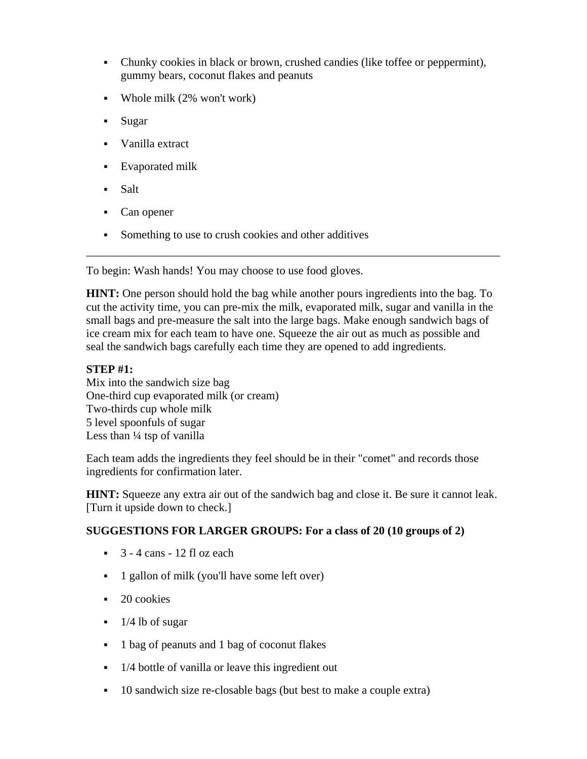- Chunky cookies in black or brown, crushed candies (like toffee or peppermint), gummy bears, coconut flakes and peanuts
- Whole milk (2% won't work)
- Sugar
- Vanilla extract
- Evaporated milk
- Salt
- Can opener
- Something to use to crush cookies and other additives

To begin: Wash hands! You may choose to use food gloves.

**HINT:** One person should hold the bag while another pours ingredients into the bag. To cut the activity time, you can pre-mix the milk, evaporated milk, sugar and vanilla in the small bags and pre-measure the salt into the large bags. Make enough sandwich bags of ice cream mix for each team to have one. Squeeze the air out as much as possible and seal the sandwich bags carefully each time they are opened to add ingredients.

# **STEP #1:**

Mix into the sandwich size bag One-third cup evaporated milk (or cream) Two-thirds cup whole milk 5 level spoonfuls of sugar Less than  $\frac{1}{4}$  tsp of vanilla

Each team adds the ingredients they feel should be in their "comet" and records those ingredients for confirmation later.

**HINT:** Squeeze any extra air out of the sandwich bag and close it. Be sure it cannot leak. [Turn it upside down to check.]

# **SUGGESTIONS FOR LARGER GROUPS: For a class of 20 (10 groups of 2)**

- $\sim$  3 4 cans 12 fl oz each
- <sup>1</sup> gallon of milk (you'll have some left over)
- $\blacksquare$  20 cookies
- $\blacksquare$  1/4 lb of sugar
- 1 bag of peanuts and 1 bag of coconut flakes
- 1/4 bottle of vanilla or leave this ingredient out
- 10 sandwich size re-closable bags (but best to make a couple extra)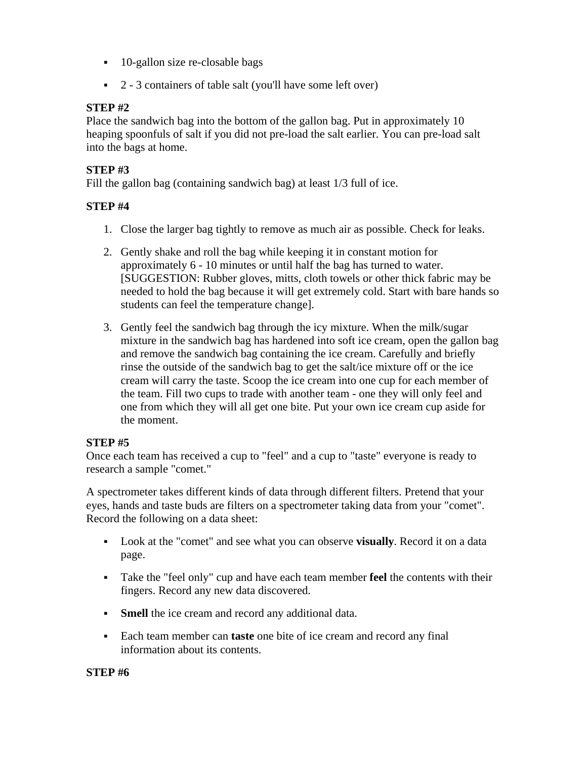- 10-gallon size re-closable bags
- 2 3 containers of table salt (you'll have some left over)

# **STEP #2**

Place the sandwich bag into the bottom of the gallon bag. Put in approximately 10 heaping spoonfuls of salt if you did not pre-load the salt earlier. You can pre-load salt into the bags at home.

# **STEP #3**

Fill the gallon bag (containing sandwich bag) at least 1/3 full of ice.

# **STEP #4**

- 1. Close the larger bag tightly to remove as much air as possible. Check for leaks.
- 2. Gently shake and roll the bag while keeping it in constant motion for approximately 6 - 10 minutes or until half the bag has turned to water. [SUGGESTION: Rubber gloves, mitts, cloth towels or other thick fabric may be needed to hold the bag because it will get extremely cold. Start with bare hands so students can feel the temperature change].
- 3. Gently feel the sandwich bag through the icy mixture. When the milk/sugar mixture in the sandwich bag has hardened into soft ice cream, open the gallon bag and remove the sandwich bag containing the ice cream. Carefully and briefly rinse the outside of the sandwich bag to get the salt/ice mixture off or the ice cream will carry the taste. Scoop the ice cream into one cup for each member of the team. Fill two cups to trade with another team - one they will only feel and one from which they will all get one bite. Put your own ice cream cup aside for the moment.

# **STEP #5**

Once each team has received a cup to "feel" and a cup to "taste" everyone is ready to research a sample "comet."

A spectrometer takes different kinds of data through different filters. Pretend that your eyes, hands and taste buds are filters on a spectrometer taking data from your "comet". Record the following on a data sheet:

- Look at the "comet" and see what you can observe **visually**. Record it on a data page.
- Take the "feel only" cup and have each team member **feel** the contents with their fingers. Record any new data discovered.
- **Smell** the ice cream and record any additional data.
- Each team member can **taste** one bite of ice cream and record any final information about its contents.

#### **STEP #6**